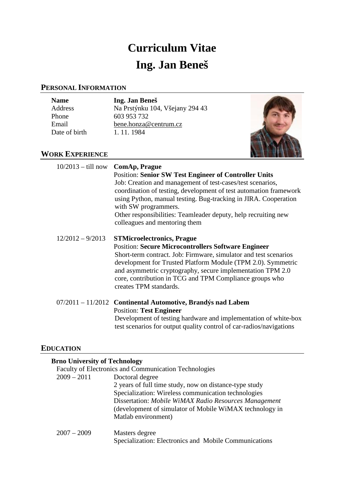# **Curriculum Vitae Ing. Jan Beneš**

## **PERSONAL INFORMATION**

| <b>Name</b> |
|-------------|
| Address     |
| Phone       |
| Email       |
| Date of bir |

**Name Ing. Jan Beneš**  Na Prstýnku 104, Všejany 294 43 603 953 732 [bene.honza@centrum.cz](mailto:bene.honza@centrum.cz) rth 1. 11. 1984



## **WORK EXPERIENCE**

| $10/2013 - \text{till now}$ ComAp, Prague | <b>Position: Senior SW Test Engineer of Controller Units</b><br>Job: Creation and management of test-cases/test scenarios,<br>coordination of testing, development of test automation framework<br>using Python, manual testing. Bug-tracking in JIRA. Cooperation<br>with SW programmers.<br>Other responsibilities: Teamleader deputy, help recruiting new<br>colleagues and mentoring them |
|-------------------------------------------|-----------------------------------------------------------------------------------------------------------------------------------------------------------------------------------------------------------------------------------------------------------------------------------------------------------------------------------------------------------------------------------------------|
| $12/2012 - 9/2013$                        | <b>STMicroelectronics, Prague</b><br><b>Position: Secure Microcontrollers Software Engineer</b><br>Short-term contract. Job: Firmware, simulator and test scenarios<br>development for Trusted Platform Module (TPM 2.0). Symmetric<br>and asymmetric cryptography, secure implementation TPM 2.0<br>core, contribution in TCG and TPM Compliance groups who<br>creates TPM standards.        |
|                                           | 07/2011 - 11/2012 Continental Automotive, Brandýs nad Labem<br><b>Position: Test Engineer</b><br>Development of testing hardware and implementation of white-box<br>test scenarios for output quality control of car-radios/navigations                                                                                                                                                       |

## **EDUCATION**

# **Brno University of Technology**

|               | <b>Faculty of Electronics and Communication Technologies</b> |
|---------------|--------------------------------------------------------------|
| $2009 - 2011$ | Doctoral degree                                              |
|               | 2 years of full time study, now on distance-type study       |
|               | Specialization: Wireless communication technologies          |
|               | Dissertation: Mobile WiMAX Radio Resources Management        |
|               | (development of simulator of Mobile WiMAX technology in      |
|               | Matlab environment)                                          |
| $2007 - 2009$ | Masters degree                                               |
|               | Specialization: Electronics and Mobile Communications        |